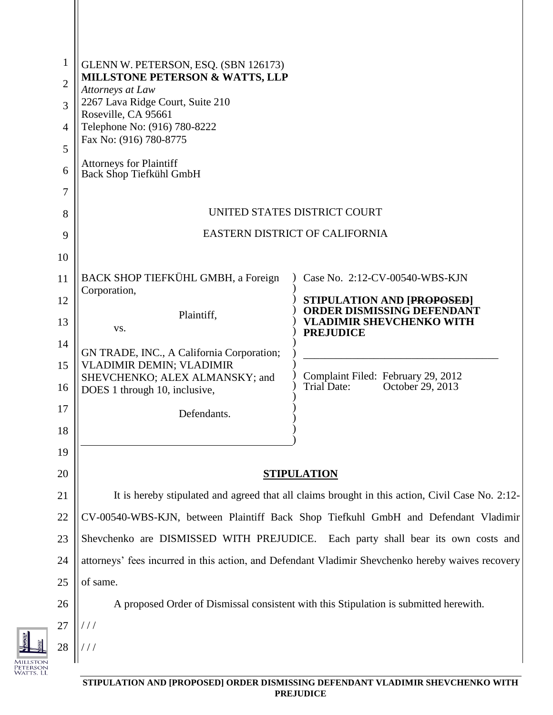| $\mathbf{1}$   | GLENN W. PETERSON, ESQ. (SBN 126173)<br><b>MILLSTONE PETERSON &amp; WATTS, LLP</b>                |                                                                        |  |
|----------------|---------------------------------------------------------------------------------------------------|------------------------------------------------------------------------|--|
| $\overline{2}$ | Attorneys at Law                                                                                  |                                                                        |  |
| 3              | 2267 Lava Ridge Court, Suite 210<br>Roseville, CA 95661                                           |                                                                        |  |
| $\overline{4}$ | Telephone No: (916) 780-8222<br>Fax No: (916) 780-8775                                            |                                                                        |  |
| 5              |                                                                                                   |                                                                        |  |
| 6              | <b>Attorneys for Plaintiff</b><br><b>Back Shop Tiefkühl GmbH</b>                                  |                                                                        |  |
| 7              |                                                                                                   |                                                                        |  |
| 8              | UNITED STATES DISTRICT COURT                                                                      |                                                                        |  |
| 9              | EASTERN DISTRICT OF CALIFORNIA                                                                    |                                                                        |  |
| 10             |                                                                                                   |                                                                        |  |
| 11             | BACK SHOP TIEFKÜHL GMBH, a Foreign                                                                | Case No. 2:12-CV-00540-WBS-KJN                                         |  |
| 12             | Corporation,                                                                                      | <b>STIPULATION AND [PROPOSED]</b><br><b>ORDER DISMISSING DEFENDANT</b> |  |
| 13             | Plaintiff,<br>VS.                                                                                 | <b>VLADIMIR SHEVCHENKO WITH</b><br><b>PREJUDICE</b>                    |  |
| 14             | GN TRADE, INC., A California Corporation;                                                         |                                                                        |  |
| 15             | VLADIMIR DEMIN; VLADIMIR                                                                          |                                                                        |  |
| 16             | SHEVCHENKO; ALEX ALMANSKY; and<br>DOES 1 through 10, inclusive,                                   | Complaint Filed: February 29, 2012<br>Trial Date:<br>October 29, 2013  |  |
| 17             | Defendants.                                                                                       |                                                                        |  |
| 18             |                                                                                                   |                                                                        |  |
| 19             |                                                                                                   |                                                                        |  |
| 20             | <b>STIPULATION</b>                                                                                |                                                                        |  |
| 21             | It is hereby stipulated and agreed that all claims brought in this action, Civil Case No. 2:12-   |                                                                        |  |
| 22             | CV-00540-WBS-KJN, between Plaintiff Back Shop Tiefkuhl GmbH and Defendant Vladimir                |                                                                        |  |
| 23             | Shevchenko are DISMISSED WITH PREJUDICE. Each party shall bear its own costs and                  |                                                                        |  |
| 24             | attorneys' fees incurred in this action, and Defendant Vladimir Shevchenko hereby waives recovery |                                                                        |  |
| 25             | of same.                                                                                          |                                                                        |  |
| 26             | A proposed Order of Dismissal consistent with this Stipulation is submitted herewith.             |                                                                        |  |
| 27             |                                                                                                   |                                                                        |  |
| 28             |                                                                                                   |                                                                        |  |
|                |                                                                                                   |                                                                        |  |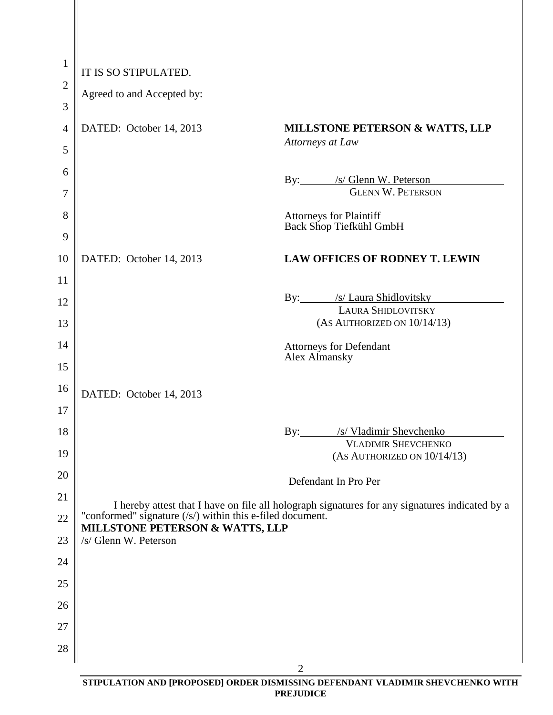| $\mathbf{1}$   | IT IS SO STIPULATED.                                                                                                                                                                                      |                                                                |
|----------------|-----------------------------------------------------------------------------------------------------------------------------------------------------------------------------------------------------------|----------------------------------------------------------------|
| $\overline{2}$ | Agreed to and Accepted by:                                                                                                                                                                                |                                                                |
| 3              |                                                                                                                                                                                                           |                                                                |
| $\overline{4}$ | DATED: October 14, 2013                                                                                                                                                                                   | <b>MILLSTONE PETERSON &amp; WATTS, LLP</b><br>Attorneys at Law |
| 5              |                                                                                                                                                                                                           |                                                                |
| 6<br>7         |                                                                                                                                                                                                           | By: /s/ Glenn W. Peterson<br><b>GLENN W. PETERSON</b>          |
| 8              |                                                                                                                                                                                                           | <b>Attorneys for Plaintiff</b><br>Back Shop Tiefkühl GmbH      |
| 9<br>10        | DATED: October 14, 2013                                                                                                                                                                                   | <b>LAW OFFICES OF RODNEY T. LEWIN</b>                          |
| 11             |                                                                                                                                                                                                           |                                                                |
| 12             |                                                                                                                                                                                                           | By: /s/ Laura Shidlovitsky                                     |
| 13             |                                                                                                                                                                                                           | LAURA SHIDLOVITSKY<br>(AS AUTHORIZED ON 10/14/13)              |
| 14             |                                                                                                                                                                                                           | <b>Attorneys for Defendant</b><br>Alex Almansky                |
| 15             |                                                                                                                                                                                                           |                                                                |
| 16             | DATED: October 14, 2013                                                                                                                                                                                   |                                                                |
| 17             |                                                                                                                                                                                                           |                                                                |
| 18             |                                                                                                                                                                                                           | By: /s/ Vladimir Shevchenko                                    |
| 19             |                                                                                                                                                                                                           | <b>VLADIMIR SHEVCHENKO</b><br>$(As$ AUTHORIZED ON $10/14/13$ ) |
| 20             |                                                                                                                                                                                                           | Defendant In Pro Per                                           |
| 21             |                                                                                                                                                                                                           |                                                                |
| 22             | I hereby attest that I have on file all holograph signatures for any signatures indicated by a<br>"conformed" signature (/s/) within this e-filed document.<br><b>MILLSTONE PETERSON &amp; WATTS, LLP</b> |                                                                |
| 23             | /s/ Glenn W. Peterson                                                                                                                                                                                     |                                                                |
| 24             |                                                                                                                                                                                                           |                                                                |
| 25             |                                                                                                                                                                                                           |                                                                |
| 26             |                                                                                                                                                                                                           |                                                                |
| 27             |                                                                                                                                                                                                           |                                                                |
| 28             |                                                                                                                                                                                                           |                                                                |
|                |                                                                                                                                                                                                           | $\overline{2}$                                                 |

**STIPULATION AND [PROPOSED] ORDER DISMISSING DEFENDANT VLADIMIR SHEVCHENKO WITH PREJUDICE**